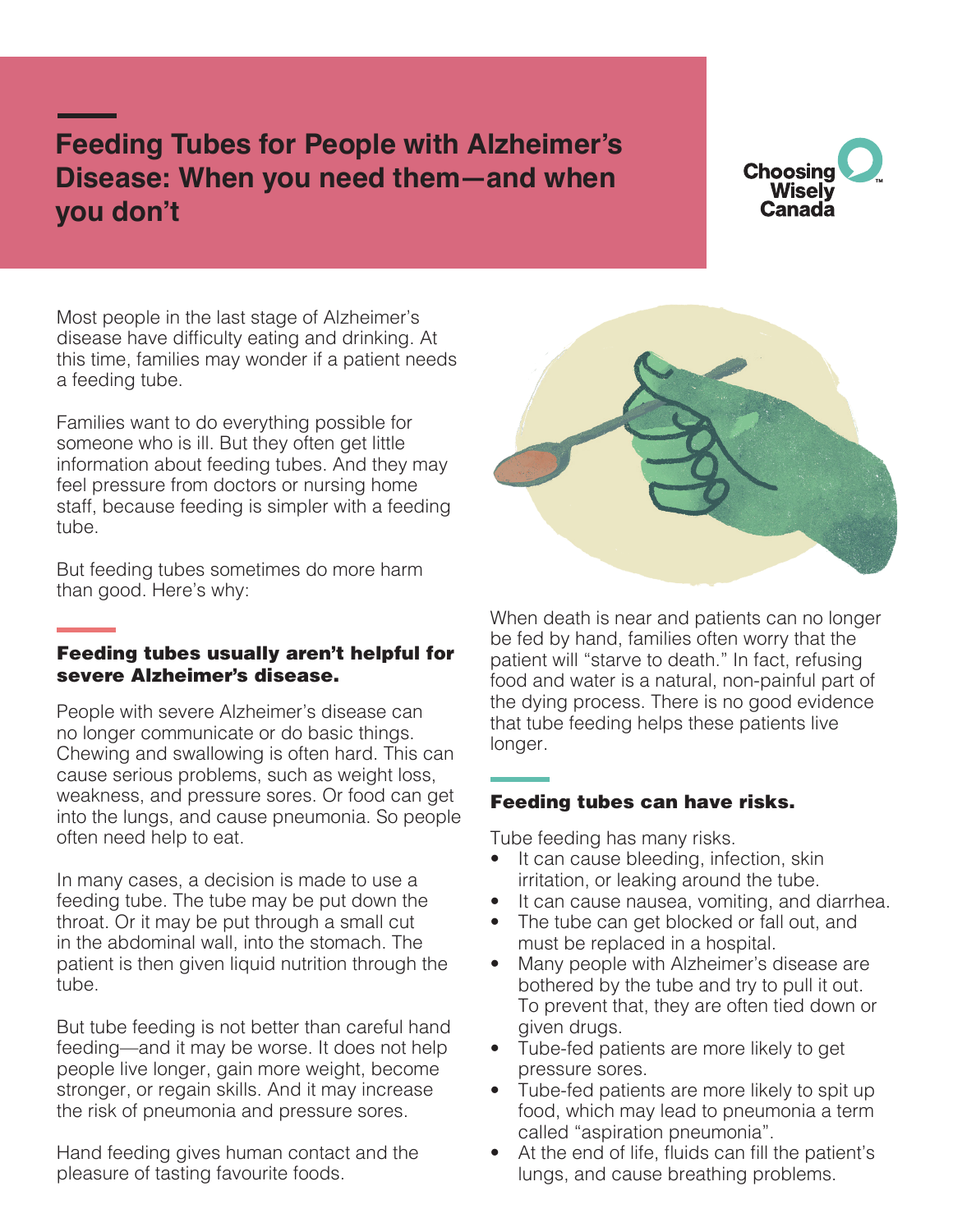**Feeding Tubes for People with Alzheimer's Disease: When you need them—and when you don't**

# **Choosing Wisely** Canada

Most people in the last stage of Alzheimer's disease have difficulty eating and drinking. At this time, families may wonder if a patient needs a feeding tube.

Families want to do everything possible for someone who is ill. But they often get little information about feeding tubes. And they may feel pressure from doctors or nursing home staff, because feeding is simpler with a feeding tube.

But feeding tubes sometimes do more harm than good. Here's why:

#### Feeding tubes usually aren't helpful for severe Alzheimer's disease.

People with severe Alzheimer's disease can no longer communicate or do basic things. Chewing and swallowing is often hard. This can cause serious problems, such as weight loss, weakness, and pressure sores. Or food can get into the lungs, and cause pneumonia. So people often need help to eat.

In many cases, a decision is made to use a feeding tube. The tube may be put down the throat. Or it may be put through a small cut in the abdominal wall, into the stomach. The patient is then given liquid nutrition through the tube.

But tube feeding is not better than careful hand feeding—and it may be worse. It does not help people live longer, gain more weight, become stronger, or regain skills. And it may increase the risk of pneumonia and pressure sores.

Hand feeding gives human contact and the pleasure of tasting favourite foods.



When death is near and patients can no longer be fed by hand, families often worry that the patient will "starve to death." In fact, refusing food and water is a natural, non-painful part of the dying process. There is no good evidence that tube feeding helps these patients live longer.

### Feeding tubes can have risks.

Tube feeding has many risks.

- It can cause bleeding, infection, skin irritation, or leaking around the tube.
- It can cause nausea, vomiting, and diarrhea.
- The tube can get blocked or fall out, and must be replaced in a hospital.
- Many people with Alzheimer's disease are bothered by the tube and try to pull it out. To prevent that, they are often tied down or given drugs.
- Tube-fed patients are more likely to get pressure sores.
- Tube-fed patients are more likely to spit up food, which may lead to pneumonia a term called "aspiration pneumonia".
- At the end of life, fluids can fill the patient's lungs, and cause breathing problems.